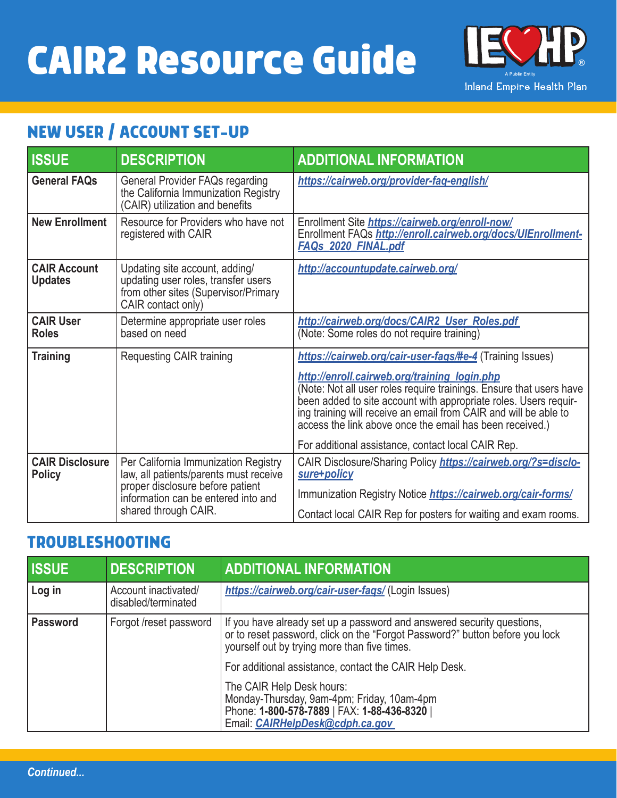# **CAIR2 Resource Guide**



# **NEW USER / ACCOUNT SET-UP**

| <b>ISSUE</b>                            | <b>DESCRIPTION</b>                                                                                                                                                                | <b>ADDITIONAL INFORMATION</b>                                                                                                                                                                                                                                                                                                                                                                                                              |
|-----------------------------------------|-----------------------------------------------------------------------------------------------------------------------------------------------------------------------------------|--------------------------------------------------------------------------------------------------------------------------------------------------------------------------------------------------------------------------------------------------------------------------------------------------------------------------------------------------------------------------------------------------------------------------------------------|
| <b>General FAQs</b>                     | General Provider FAQs regarding<br>the California Immunization Registry<br>(CAIR) utilization and benefits                                                                        | https://cairweb.org/provider-faq-english/                                                                                                                                                                                                                                                                                                                                                                                                  |
| <b>New Enrollment</b>                   | Resource for Providers who have not<br>registered with CAIR                                                                                                                       | Enrollment Site https://cairweb.org/enroll-now/<br>Enrollment FAQs http://enroll.cairweb.org/docs/UIEnrollment-<br><b>FAQs 2020 FINAL.pdf</b>                                                                                                                                                                                                                                                                                              |
| <b>CAIR Account</b><br><b>Updates</b>   | Updating site account, adding/<br>updating user roles, transfer users<br>from other sites (Supervisor/Primary<br>CAIR contact only)                                               | http://accountupdate.cairweb.org/                                                                                                                                                                                                                                                                                                                                                                                                          |
| <b>CAIR User</b><br><b>Roles</b>        | Determine appropriate user roles<br>based on need                                                                                                                                 | http://cairweb.org/docs/CAIR2 User Roles.pdf<br>(Note: Some roles do not require training)                                                                                                                                                                                                                                                                                                                                                 |
| <b>Training</b>                         | <b>Requesting CAIR training</b>                                                                                                                                                   | https://cairweb.org/cair-user-fags/#e-4 (Training Issues)<br>http://enroll.cairweb.org/training login.php<br>(Note: Not all user roles require trainings. Ensure that users have<br>been added to site account with appropriate roles. Users requir-<br>ing training will receive an email from CAIR and will be able to<br>access the link above once the email has been received.)<br>For additional assistance, contact local CAIR Rep. |
| <b>CAIR Disclosure</b><br><b>Policy</b> | Per California Immunization Registry<br>law, all patients/parents must receive<br>proper disclosure before patient<br>information can be entered into and<br>shared through CAIR. | CAIR Disclosure/Sharing Policy https://cairweb.org/?s=disclo-<br>sure+policy<br>Immunization Registry Notice <b>https://cairweb.org/cair-forms/</b><br>Contact local CAIR Rep for posters for waiting and exam rooms.                                                                                                                                                                                                                      |

#### **TROUBLESHOOTING**

| <b>ISSUE</b>    | <b>DESCRIPTION</b>                          | <b>ADDITIONAL INFORMATION</b>                                                                                                                                                                          |
|-----------------|---------------------------------------------|--------------------------------------------------------------------------------------------------------------------------------------------------------------------------------------------------------|
| Log in          | Account inactivated/<br>disabled/terminated | https://cairweb.org/cair-user-fags/ (Login Issues)                                                                                                                                                     |
| <b>Password</b> | Forgot /reset password                      | If you have already set up a password and answered security questions,<br>or to reset password, click on the "Forgot Password?" button before you lock<br>yourself out by trying more than five times. |
|                 |                                             | For additional assistance, contact the CAIR Help Desk.                                                                                                                                                 |
|                 |                                             | The CAIR Help Desk hours:<br>Monday-Thursday, 9am-4pm; Friday, 10am-4pm<br>Phone: 1-800-578-7889   FAX: 1-88-436-8320  <br>Email: <i>CAIRHelpDesk@cdph.ca.gov</i>                                      |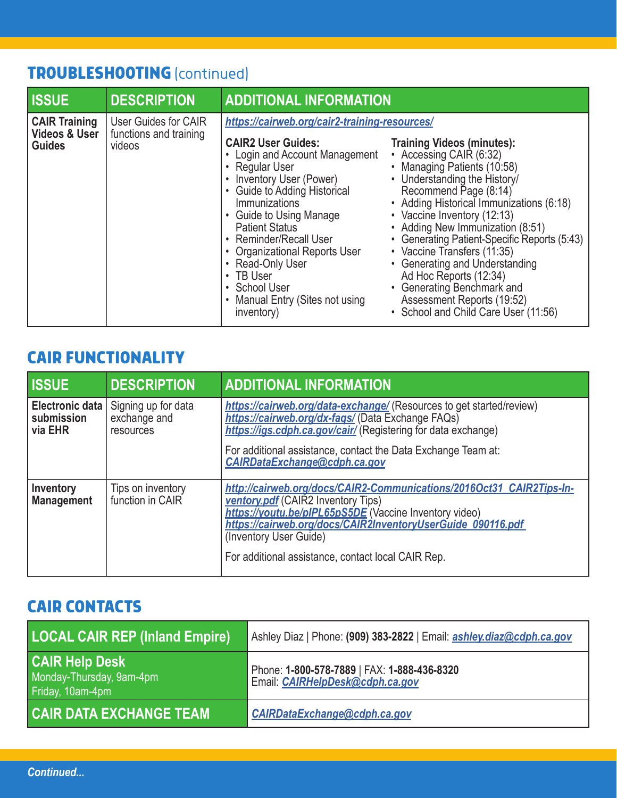# **TROUBLESHOOTING** (continued)

| <b>ISSUE</b>                                                      | <b>DESCRIPTION</b>                                       | <b>ADDITIONAL INFORMATION</b>                                                                                                                                                                                                                                                                                                                                                                                                 |                                                                                                                                                                                                                                                                                                                                                                                                                                                                                                                    |
|-------------------------------------------------------------------|----------------------------------------------------------|-------------------------------------------------------------------------------------------------------------------------------------------------------------------------------------------------------------------------------------------------------------------------------------------------------------------------------------------------------------------------------------------------------------------------------|--------------------------------------------------------------------------------------------------------------------------------------------------------------------------------------------------------------------------------------------------------------------------------------------------------------------------------------------------------------------------------------------------------------------------------------------------------------------------------------------------------------------|
| <b>CAIR Training</b><br><b>Videos &amp; User</b><br><b>Guides</b> | User Guides for CAIR<br>functions and training<br>videos | https://cairweb.org/cair2-training-resources/<br><b>CAIR2 User Guides:</b><br>• Login and Account Management<br>• Regular User<br>Inventory User (Power)<br>• Guide to Adding Historical<br>Immunizations<br>Guide to Using Manage<br><b>Patient Status</b><br>• Reminder/Recall User<br>• Organizational Reports User<br>• Read-Only User<br>$\cdot$ TB User<br>• School User<br>Manual Entry (Sites not using<br>inventory) | <b>Training Videos (minutes):</b><br>• Accessing CAIR (6:32)<br>• Managing Patients (10:58)<br>• Understanding the History/<br>Recommend Page (8:14)<br>• Adding Historical Immunizations (6:18)<br>• Vaccine Inventory (12:13)<br>• Adding New Immunization (8:51)<br>• Generating Patient-Specific Reports (5:43)<br>• Vaccine Transfers (11:35)<br>• Generating and Understanding<br>Ad Hoc Reports (12:34)<br>• Generating Benchmark and<br>Assessment Reports (19:52)<br>• School and Child Care User (11:56) |

# **CAIR FUNCTIONALITY**

| <b>ISSUE</b>                                    | <b>DESCRIPTION</b>                               | <b>ADDITIONAL INFORMATION</b>                                                                                                                                                                                                                                                                                              |
|-------------------------------------------------|--------------------------------------------------|----------------------------------------------------------------------------------------------------------------------------------------------------------------------------------------------------------------------------------------------------------------------------------------------------------------------------|
| <b>Electronic data</b><br>submission<br>via EHR | Signing up for data<br>exchange and<br>resources | https://cairweb.org/data-exchange/ (Resources to get started/review)<br>https://cairweb.org/dx-fags/ (Data Exchange FAQs)<br>https://igs.cdph.ca.gov/cair/ (Registering for data exchange)<br>For additional assistance, contact the Data Exchange Team at:<br>CAIRDataExchange@cdph.ca.gov                                |
| <b>Inventory</b><br><b>Management</b>           | Tips on inventory<br>function in CAIR            | http://cairweb.org/docs/CAIR2-Communications/2016Oct31 CAIR2Tips-In-<br><b>ventory.pdf</b> (CAIR2 Inventory Tips)<br>https://voutu.be/pIPL65pS5DE (Vaccine Inventory video)<br>https://cairweb.org/docs/CAIR2InventoryUserGuide 090116.pdf<br>(Inventory User Guide)<br>For additional assistance, contact local CAIR Rep. |

## **CAIR CONTACTS**

| <b>LOCAL CAIR REP (Inland Empire)</b>                                 | Ashley Diaz   Phone: (909) 383-2822   Email: ashley.diaz@cdph.ca.gov           |
|-----------------------------------------------------------------------|--------------------------------------------------------------------------------|
| <b>CAIR Help Desk</b><br>Monday-Thursday, 9am-4pm<br>Friday, 10am-4pm | Phone: 1-800-578-7889   FAX: 1-888-436-8320<br>Email: CAIRHelpDesk@cdph.ca.gov |
| <b>CAIR DATA EXCHANGE TEAM</b>                                        | <b>CAIRDataExchange@cdph.ca.gov</b>                                            |

*Continued...*